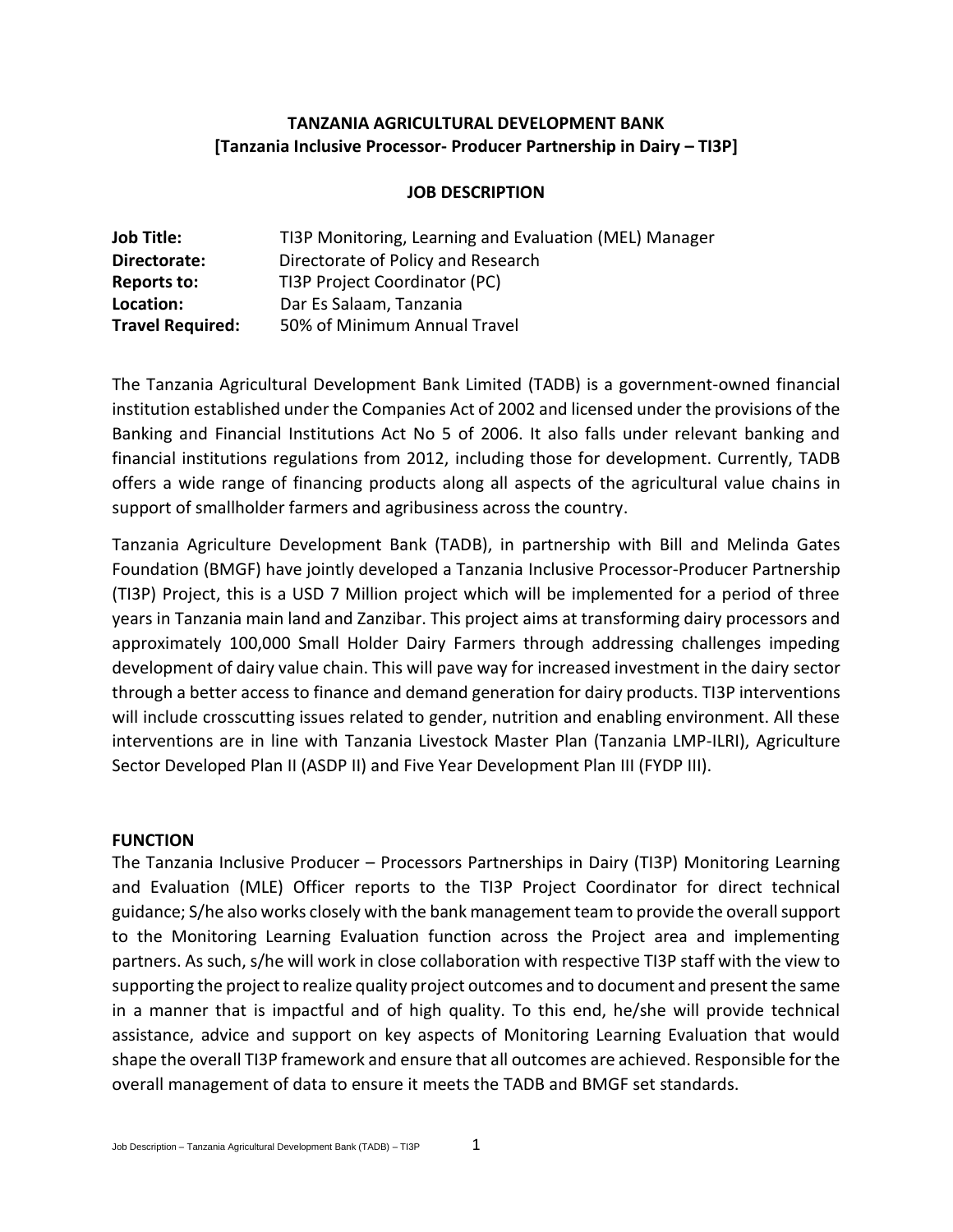### **TANZANIA AGRICULTURAL DEVELOPMENT BANK [Tanzania Inclusive Processor- Producer Partnership in Dairy – TI3P]**

### **JOB DESCRIPTION**

| <b>Job Title:</b>       | TI3P Monitoring, Learning and Evaluation (MEL) Manager |
|-------------------------|--------------------------------------------------------|
| Directorate:            | Directorate of Policy and Research                     |
| Reports to:             | TI3P Project Coordinator (PC)                          |
| Location:               | Dar Es Salaam, Tanzania                                |
| <b>Travel Required:</b> | 50% of Minimum Annual Travel                           |

The Tanzania Agricultural Development Bank Limited (TADB) is a government-owned financial institution established under the Companies Act of 2002 and licensed under the provisions of the Banking and Financial Institutions Act No 5 of 2006. It also falls under relevant banking and financial institutions regulations from 2012, including those for development. Currently, TADB offers a wide range of financing products along all aspects of the agricultural value chains in support of smallholder farmers and agribusiness across the country.

Tanzania Agriculture Development Bank (TADB), in partnership with Bill and Melinda Gates Foundation (BMGF) have jointly developed a Tanzania Inclusive Processor-Producer Partnership (TI3P) Project, this is a USD 7 Million project which will be implemented for a period of three years in Tanzania main land and Zanzibar. This project aims at transforming dairy processors and approximately 100,000 Small Holder Dairy Farmers through addressing challenges impeding development of dairy value chain. This will pave way for increased investment in the dairy sector through a better access to finance and demand generation for dairy products. TI3P interventions will include crosscutting issues related to gender, nutrition and enabling environment. All these interventions are in line with Tanzania Livestock Master Plan (Tanzania LMP-ILRI), Agriculture Sector Developed Plan II (ASDP II) and Five Year Development Plan III (FYDP III).

#### **FUNCTION**

The Tanzania Inclusive Producer – Processors Partnerships in Dairy (TI3P) Monitoring Learning and Evaluation (MLE) Officer reports to the TI3P Project Coordinator for direct technical guidance; S/he also works closely with the bank management team to provide the overall support to the Monitoring Learning Evaluation function across the Project area and implementing partners. As such, s/he will work in close collaboration with respective TI3P staff with the view to supporting the project to realize quality project outcomes and to document and present the same in a manner that is impactful and of high quality. To this end, he/she will provide technical assistance, advice and support on key aspects of Monitoring Learning Evaluation that would shape the overall TI3P framework and ensure that all outcomes are achieved. Responsible for the overall management of data to ensure it meets the TADB and BMGF set standards.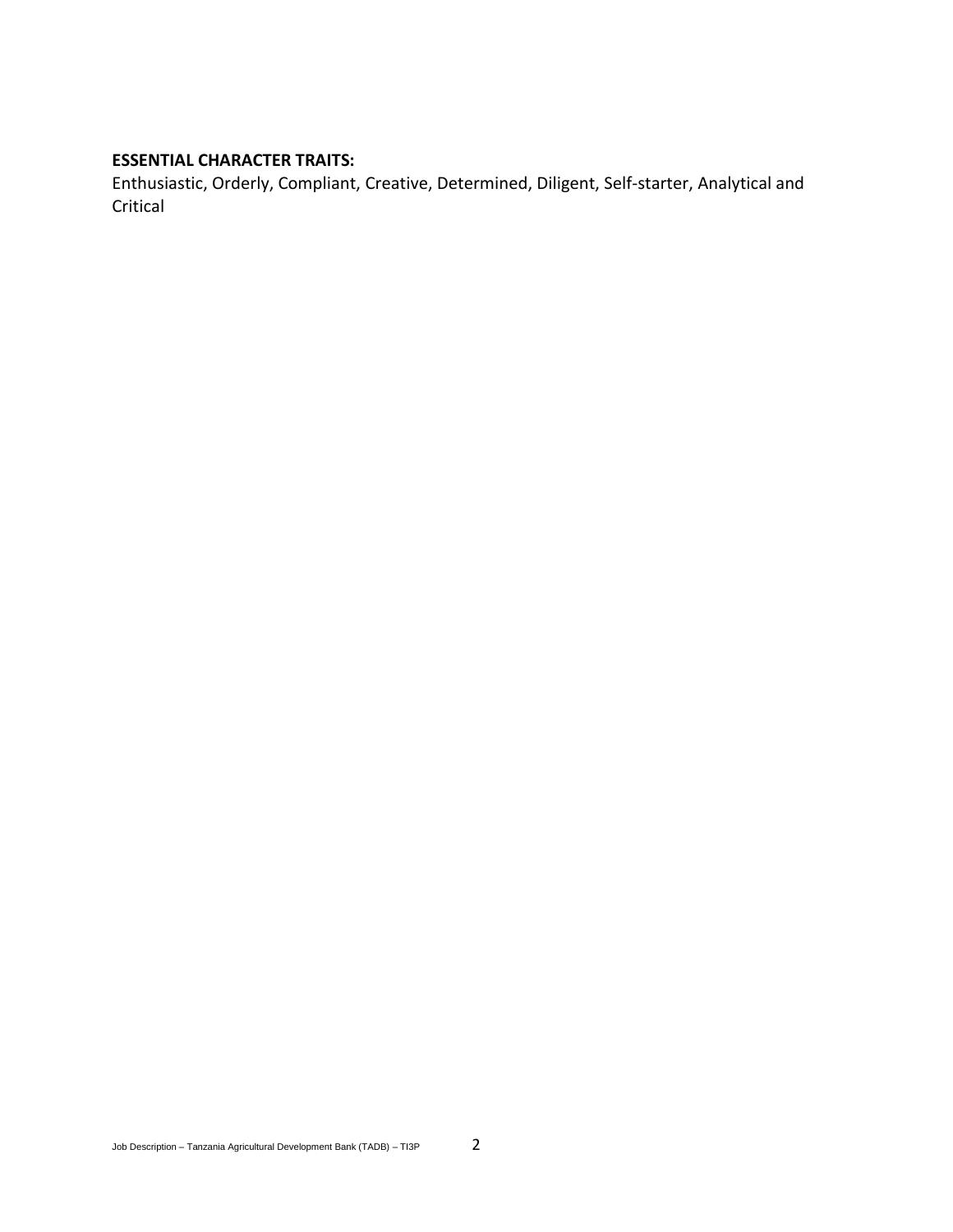#### **ESSENTIAL CHARACTER TRAITS:**

Enthusiastic, Orderly, Compliant, Creative, Determined, Diligent, Self-starter, Analytical and Critical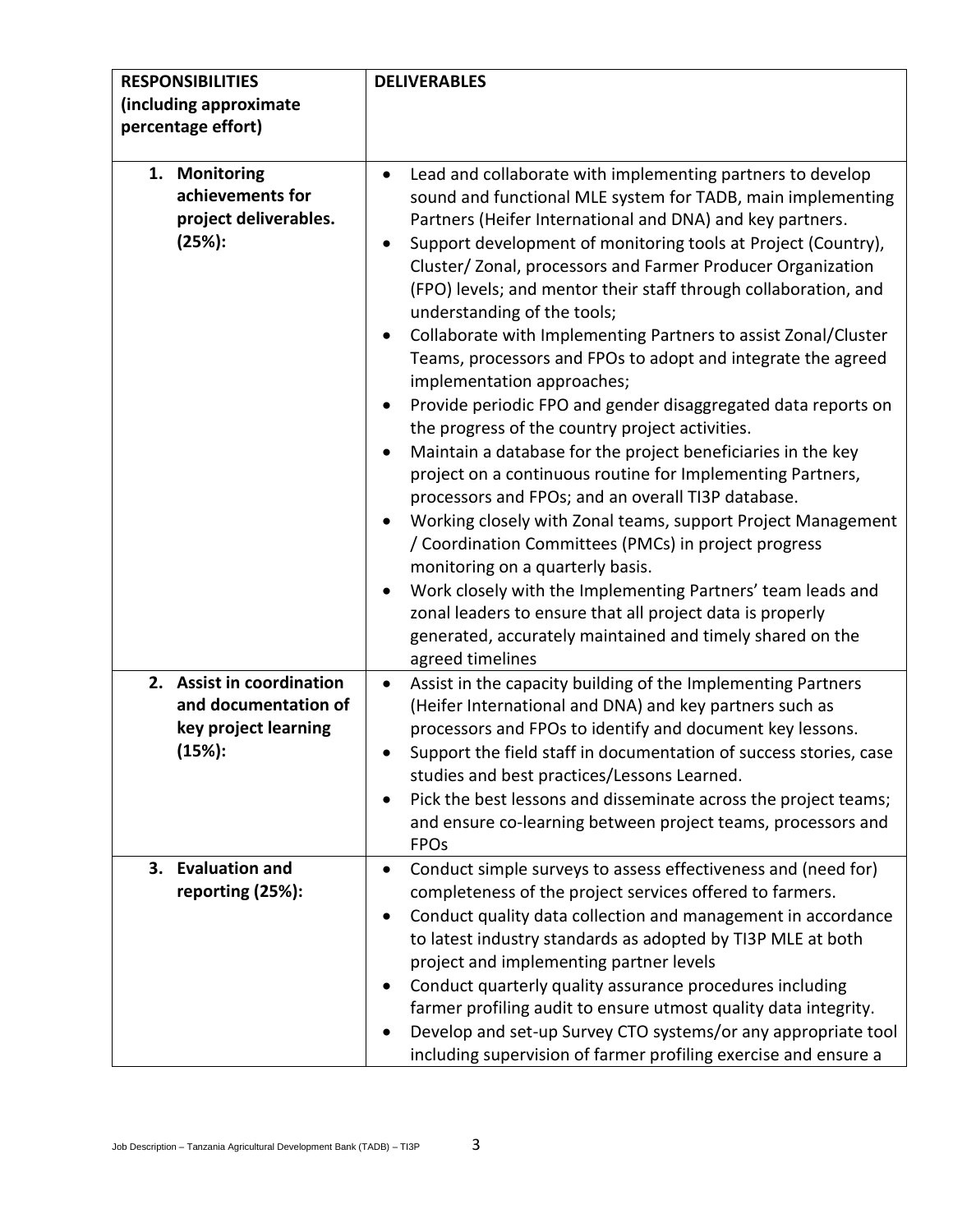| <b>RESPONSIBILITIES</b><br>(including approximate                                   | <b>DELIVERABLES</b>                                                                                                                                                                                                                                                                                                                                                                                                                                                                                                                                                                                                                                                                                                                                                                                                                                                                                                                                                                                                                                                                                                                                                                                                                                                           |
|-------------------------------------------------------------------------------------|-------------------------------------------------------------------------------------------------------------------------------------------------------------------------------------------------------------------------------------------------------------------------------------------------------------------------------------------------------------------------------------------------------------------------------------------------------------------------------------------------------------------------------------------------------------------------------------------------------------------------------------------------------------------------------------------------------------------------------------------------------------------------------------------------------------------------------------------------------------------------------------------------------------------------------------------------------------------------------------------------------------------------------------------------------------------------------------------------------------------------------------------------------------------------------------------------------------------------------------------------------------------------------|
| percentage effort)                                                                  |                                                                                                                                                                                                                                                                                                                                                                                                                                                                                                                                                                                                                                                                                                                                                                                                                                                                                                                                                                                                                                                                                                                                                                                                                                                                               |
| 1. Monitoring<br>achievements for<br>project deliverables.<br>(25%):                | Lead and collaborate with implementing partners to develop<br>sound and functional MLE system for TADB, main implementing<br>Partners (Heifer International and DNA) and key partners.<br>Support development of monitoring tools at Project (Country),<br>Cluster/Zonal, processors and Farmer Producer Organization<br>(FPO) levels; and mentor their staff through collaboration, and<br>understanding of the tools;<br>Collaborate with Implementing Partners to assist Zonal/Cluster<br>Teams, processors and FPOs to adopt and integrate the agreed<br>implementation approaches;<br>Provide periodic FPO and gender disaggregated data reports on<br>the progress of the country project activities.<br>Maintain a database for the project beneficiaries in the key<br>٠<br>project on a continuous routine for Implementing Partners,<br>processors and FPOs; and an overall TI3P database.<br>Working closely with Zonal teams, support Project Management<br>/ Coordination Committees (PMCs) in project progress<br>monitoring on a quarterly basis.<br>Work closely with the Implementing Partners' team leads and<br>zonal leaders to ensure that all project data is properly<br>generated, accurately maintained and timely shared on the<br>agreed timelines |
| 2. Assist in coordination<br>and documentation of<br>key project learning<br>(15%): | Assist in the capacity building of the Implementing Partners<br>(Heifer International and DNA) and key partners such as<br>processors and FPOs to identify and document key lessons.<br>Support the field staff in documentation of success stories, case<br>studies and best practices/Lessons Learned.<br>Pick the best lessons and disseminate across the project teams;<br>and ensure co-learning between project teams, processors and<br><b>FPOs</b>                                                                                                                                                                                                                                                                                                                                                                                                                                                                                                                                                                                                                                                                                                                                                                                                                    |
| 3. Evaluation and<br>reporting (25%):                                               | Conduct simple surveys to assess effectiveness and (need for)<br>completeness of the project services offered to farmers.<br>Conduct quality data collection and management in accordance<br>to latest industry standards as adopted by TI3P MLE at both<br>project and implementing partner levels<br>Conduct quarterly quality assurance procedures including<br>$\bullet$<br>farmer profiling audit to ensure utmost quality data integrity.<br>Develop and set-up Survey CTO systems/or any appropriate tool<br>including supervision of farmer profiling exercise and ensure a                                                                                                                                                                                                                                                                                                                                                                                                                                                                                                                                                                                                                                                                                           |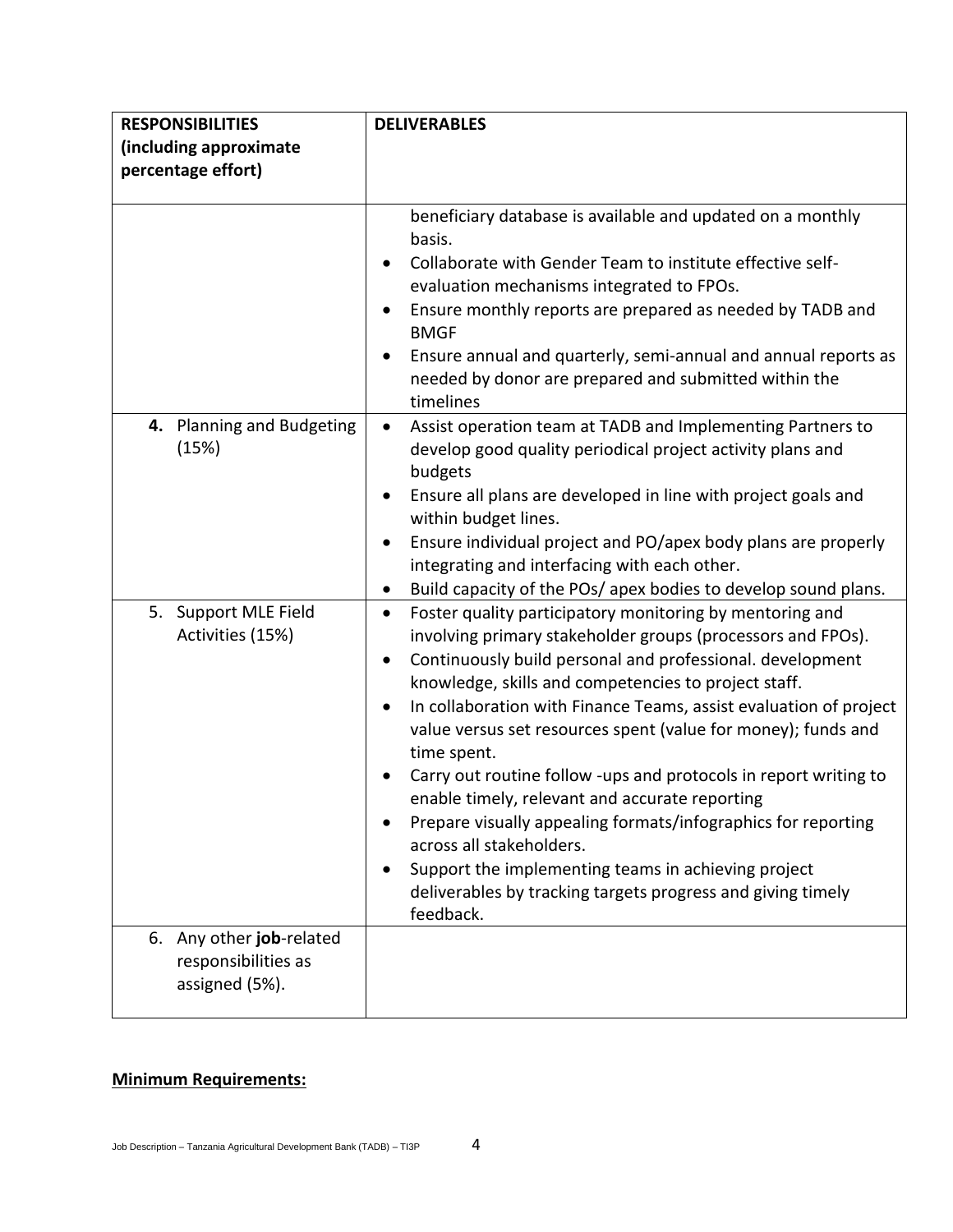| <b>RESPONSIBILITIES</b>                                           | <b>DELIVERABLES</b>                                                                                                                                                                                                                                                                                                                                                                                                                                                                                                                                                                                                                                                                                                                                                  |
|-------------------------------------------------------------------|----------------------------------------------------------------------------------------------------------------------------------------------------------------------------------------------------------------------------------------------------------------------------------------------------------------------------------------------------------------------------------------------------------------------------------------------------------------------------------------------------------------------------------------------------------------------------------------------------------------------------------------------------------------------------------------------------------------------------------------------------------------------|
| (including approximate                                            |                                                                                                                                                                                                                                                                                                                                                                                                                                                                                                                                                                                                                                                                                                                                                                      |
| percentage effort)                                                |                                                                                                                                                                                                                                                                                                                                                                                                                                                                                                                                                                                                                                                                                                                                                                      |
|                                                                   | beneficiary database is available and updated on a monthly<br>basis.<br>Collaborate with Gender Team to institute effective self-<br>evaluation mechanisms integrated to FPOs.<br>Ensure monthly reports are prepared as needed by TADB and<br><b>BMGF</b><br>Ensure annual and quarterly, semi-annual and annual reports as<br>needed by donor are prepared and submitted within the                                                                                                                                                                                                                                                                                                                                                                                |
| 4. Planning and Budgeting<br>(15%)                                | timelines<br>Assist operation team at TADB and Implementing Partners to<br>develop good quality periodical project activity plans and<br>budgets<br>Ensure all plans are developed in line with project goals and<br>within budget lines.<br>Ensure individual project and PO/apex body plans are properly<br>integrating and interfacing with each other.<br>Build capacity of the POs/ apex bodies to develop sound plans.<br>$\bullet$                                                                                                                                                                                                                                                                                                                            |
| 5. Support MLE Field<br>Activities (15%)                          | Foster quality participatory monitoring by mentoring and<br>$\bullet$<br>involving primary stakeholder groups (processors and FPOs).<br>Continuously build personal and professional. development<br>knowledge, skills and competencies to project staff.<br>In collaboration with Finance Teams, assist evaluation of project<br>value versus set resources spent (value for money); funds and<br>time spent.<br>Carry out routine follow -ups and protocols in report writing to<br>enable timely, relevant and accurate reporting<br>Prepare visually appealing formats/infographics for reporting<br>across all stakeholders.<br>Support the implementing teams in achieving project<br>deliverables by tracking targets progress and giving timely<br>feedback. |
| 6. Any other job-related<br>responsibilities as<br>assigned (5%). |                                                                                                                                                                                                                                                                                                                                                                                                                                                                                                                                                                                                                                                                                                                                                                      |

# **Minimum Requirements:**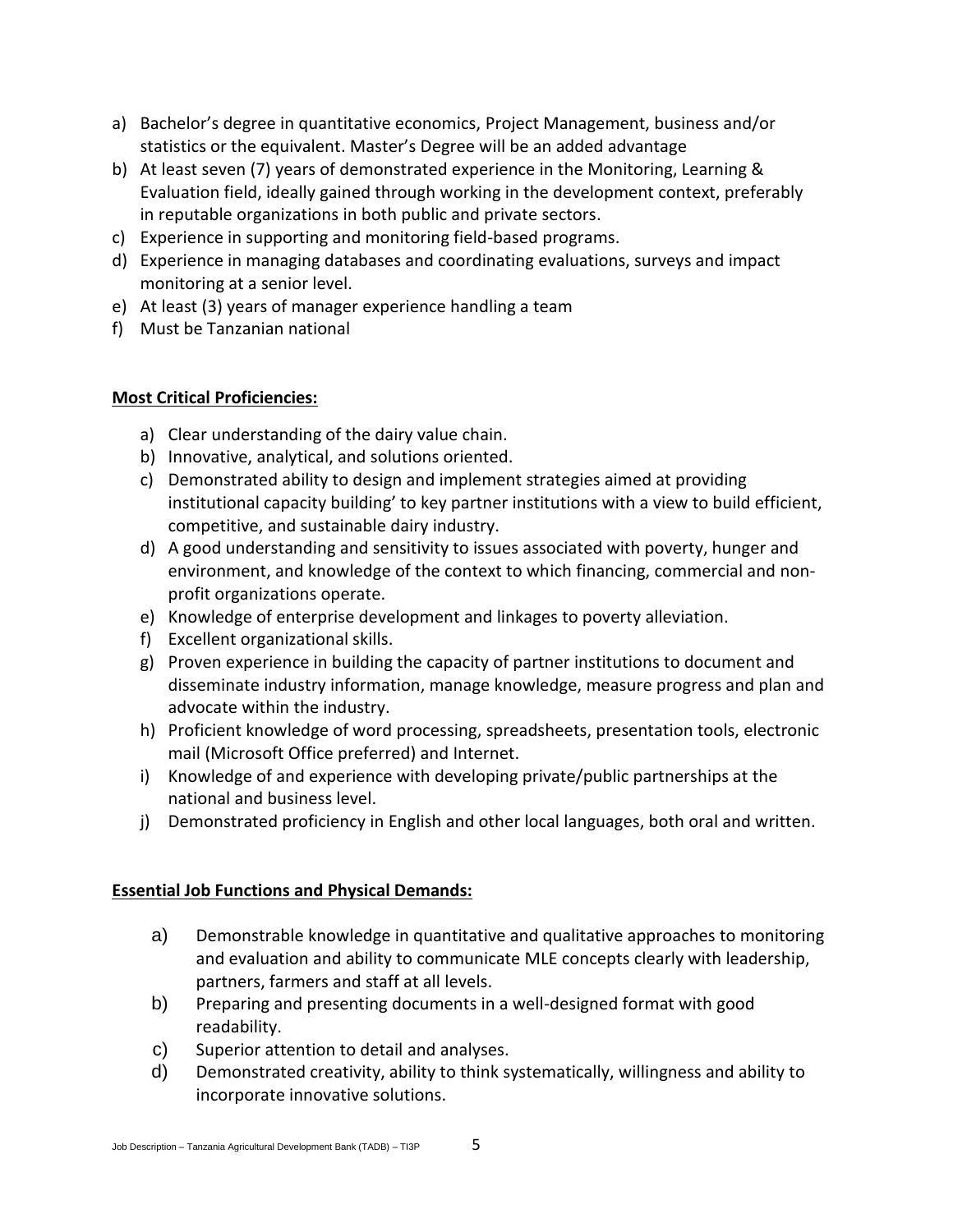- a) Bachelor's degree in quantitative economics, Project Management, business and/or statistics or the equivalent. Master's Degree will be an added advantage
- b) At least seven (7) years of demonstrated experience in the Monitoring, Learning & Evaluation field, ideally gained through working in the development context, preferably in reputable organizations in both public and private sectors.
- c) Experience in supporting and monitoring field-based programs.
- d) Experience in managing databases and coordinating evaluations, surveys and impact monitoring at a senior level.
- e) At least (3) years of manager experience handling a team
- f) Must be Tanzanian national

## **Most Critical Proficiencies:**

- a) Clear understanding of the dairy value chain.
- b) Innovative, analytical, and solutions oriented.
- c) Demonstrated ability to design and implement strategies aimed at providing institutional capacity building' to key partner institutions with a view to build efficient, competitive, and sustainable dairy industry.
- d) A good understanding and sensitivity to issues associated with poverty, hunger and environment, and knowledge of the context to which financing, commercial and nonprofit organizations operate.
- e) Knowledge of enterprise development and linkages to poverty alleviation.
- f) Excellent organizational skills.
- g) Proven experience in building the capacity of partner institutions to document and disseminate industry information, manage knowledge, measure progress and plan and advocate within the industry.
- h) Proficient knowledge of word processing, spreadsheets, presentation tools, electronic mail (Microsoft Office preferred) and Internet.
- i) Knowledge of and experience with developing private/public partnerships at the national and business level.
- j) Demonstrated proficiency in English and other local languages, both oral and written.

### **Essential Job Functions and Physical Demands:**

- a) Demonstrable knowledge in quantitative and qualitative approaches to monitoring and evaluation and ability to communicate MLE concepts clearly with leadership, partners, farmers and staff at all levels.
- b) Preparing and presenting documents in a well-designed format with good readability.
- c) Superior attention to detail and analyses.
- d) Demonstrated creativity, ability to think systematically, willingness and ability to incorporate innovative solutions.